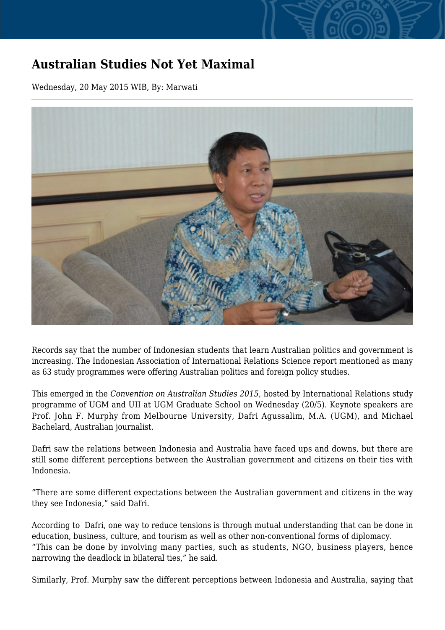## **Australian Studies Not Yet Maximal**

Wednesday, 20 May 2015 WIB, By: Marwati



Records say that the number of Indonesian students that learn Australian politics and government is increasing. The Indonesian Association of International Relations Science report mentioned as many as 63 study programmes were offering Australian politics and foreign policy studies.

This emerged in the *Convention on Australian Studies 2015*, hosted by International Relations study programme of UGM and UII at UGM Graduate School on Wednesday (20/5). Keynote speakers are Prof. John F. Murphy from Melbourne University, Dafri Agussalim, M.A. (UGM), and Michael Bachelard, Australian journalist.

Dafri saw the relations between Indonesia and Australia have faced ups and downs, but there are still some different perceptions between the Australian government and citizens on their ties with Indonesia.

"There are some different expectations between the Australian government and citizens in the way they see Indonesia," said Dafri.

According to Dafri, one way to reduce tensions is through mutual understanding that can be done in education, business, culture, and tourism as well as other non-conventional forms of diplomacy. "This can be done by involving many parties, such as students, NGO, business players, hence narrowing the deadlock in bilateral ties," he said.

Similarly, Prof. Murphy saw the different perceptions between Indonesia and Australia, saying that